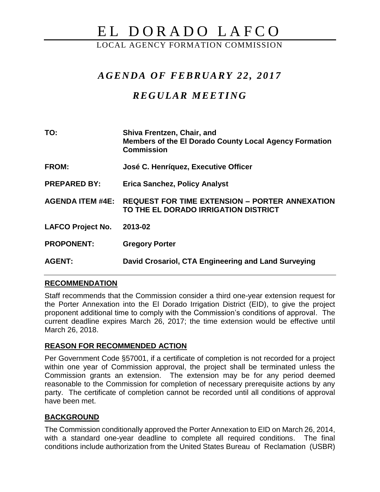# EL DORADO LAFCO

LOCAL AGENCY FORMATION COMMISSION

## *A G E N D A OF F E BR U A RY 22 , 201 7*

# *R E G U L AR M E E TI N G*

| TO:                      | <b>Shiva Frentzen, Chair, and</b><br><b>Members of the El Dorado County Local Agency Formation</b><br><b>Commission</b> |
|--------------------------|-------------------------------------------------------------------------------------------------------------------------|
| <b>FROM:</b>             | José C. Henríquez, Executive Officer                                                                                    |
| <b>PREPARED BY:</b>      | <b>Erica Sanchez, Policy Analyst</b>                                                                                    |
| <b>AGENDA ITEM #4E:</b>  | <b>REQUEST FOR TIME EXTENSION - PORTER ANNEXATION</b><br>TO THE EL DORADO IRRIGATION DISTRICT                           |
| <b>LAFCO Project No.</b> | 2013-02                                                                                                                 |
| <b>PROPONENT:</b>        | <b>Gregory Porter</b>                                                                                                   |
| <b>AGENT:</b>            | David Crosariol, CTA Engineering and Land Surveying                                                                     |

#### **RECOMMENDATION**

Staff recommends that the Commission consider a third one-year extension request for the Porter Annexation into the El Dorado Irrigation District (EID), to give the project proponent additional time to comply with the Commission's conditions of approval. The current deadline expires March 26, 2017; the time extension would be effective until March 26, 2018.

## **REASON FOR RECOMMENDED ACTION**

Per Government Code §57001, if a certificate of completion is not recorded for a project within one year of Commission approval, the project shall be terminated unless the Commission grants an extension. The extension may be for any period deemed reasonable to the Commission for completion of necessary prerequisite actions by any party. The certificate of completion cannot be recorded until all conditions of approval have been met.

## **BACKGROUND**

The Commission conditionally approved the Porter Annexation to EID on March 26, 2014, with a standard one-year deadline to complete all required conditions. The final conditions include authorization from the United States Bureau of Reclamation (USBR)